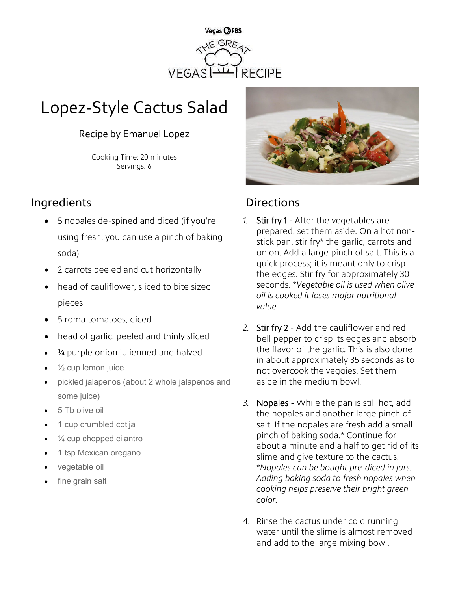

# Lopez-Style Cactus Salad

## Recipe by Emanuel Lopez

Cooking Time: 20 minutes Servings: 6

# Ingredients **Directions**

- 5 nopales de-spined and diced (if you're using fresh, you can use a pinch of baking soda)
- 2 carrots peeled and cut horizontally
- head of cauliflower, sliced to bite sized pieces
- 5 roma tomatoes, diced
- head of garlic, peeled and thinly sliced
- ¾ purple onion julienned and halved
- $\frac{1}{2}$  cup lemon juice
- pickled jalapenos (about 2 whole jalapenos and some juice)
- 5 Tb olive oil
- 1 cup crumbled cotija
- $\frac{1}{4}$  cup chopped cilantro
- 1 tsp Mexican oregano
- vegetable oil
- fine grain salt



- *1.* Stir fry 1 After the vegetables are prepared, set them aside. On a hot nonstick pan, stir fry\* the garlic, carrots and onion. Add a large pinch of salt. This is a quick process; it is meant only to crisp the edges. Stir fry for approximately 30 seconds. \**Vegetable oil is used when olive oil is cooked it loses major nutritional value.*
- *2.* Stir fry 2 Add the cauliflower and red bell pepper to crisp its edges and absorb the flavor of the garlic. This is also done in about approximately 35 seconds as to not overcook the veggies. Set them aside in the medium bowl.
- *3.* Nopales While the pan is still hot, add the nopales and another large pinch of salt. If the nopales are fresh add a small pinch of baking soda.\* Continue for about a minute and a half to get rid of its slime and give texture to the cactus. \**Nopales can be bought pre-diced in jars. Adding baking soda to fresh nopales when cooking helps preserve their bright green color.*
- 4. Rinse the cactus under cold running water until the slime is almost removed and add to the large mixing bowl.